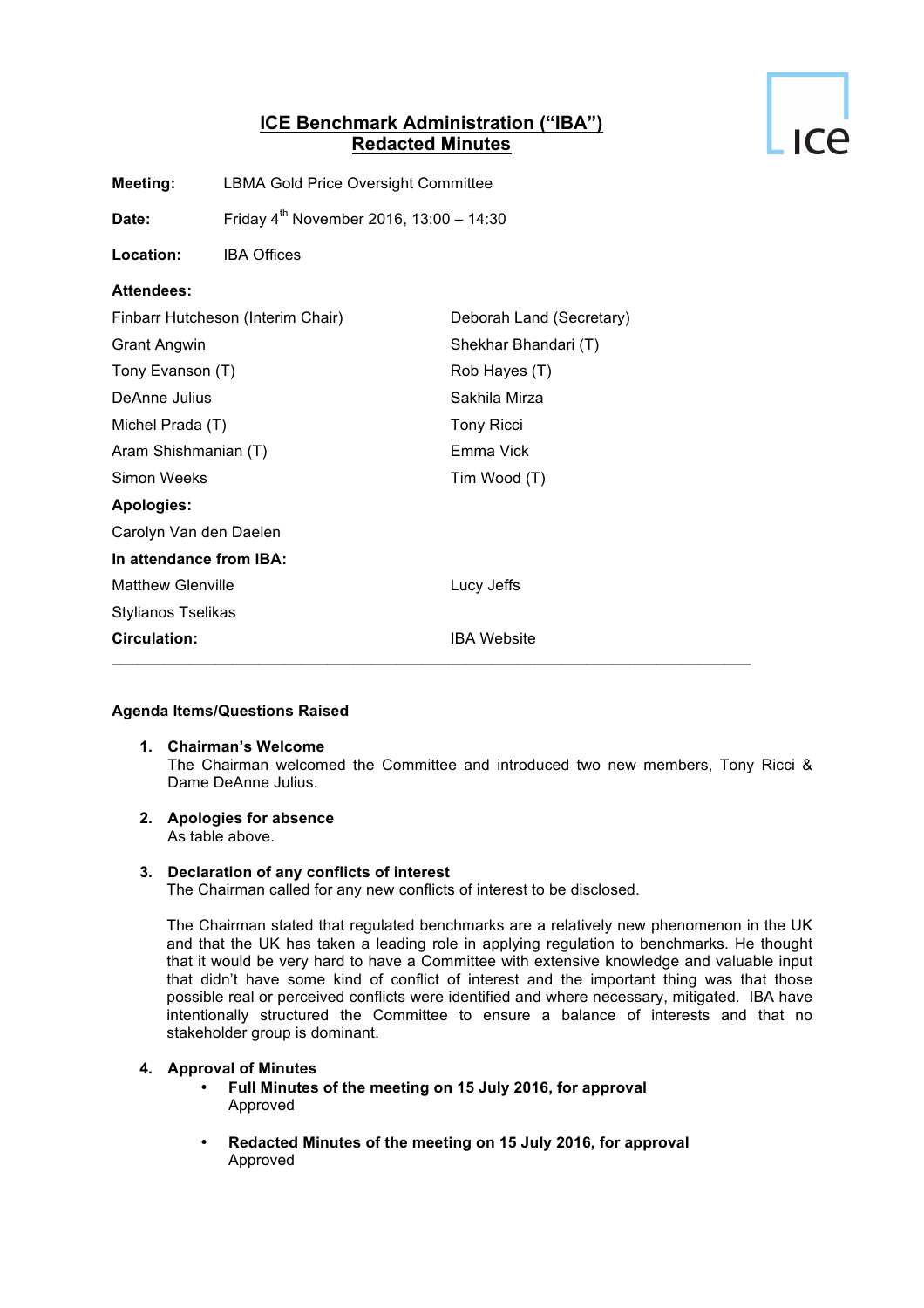## **ICE Benchmark Administration ("IBA") Redacted Minutes**



| Meeting:                          | <b>LBMA Gold Price Oversight Committee</b>   |                          |
|-----------------------------------|----------------------------------------------|--------------------------|
| Date:                             | Friday $4^{th}$ November 2016, 13:00 - 14:30 |                          |
| Location:                         | <b>IBA Offices</b>                           |                          |
| Attendees:                        |                                              |                          |
| Finbarr Hutcheson (Interim Chair) |                                              | Deborah Land (Secretary) |
| Grant Angwin                      |                                              | Shekhar Bhandari (T)     |
| Tony Evanson (T)                  |                                              | Rob Hayes (T)            |
| DeAnne Julius                     |                                              | Sakhila Mirza            |
| Michel Prada (T)                  |                                              | <b>Tony Ricci</b>        |
| Aram Shishmanian (T)              |                                              | Emma Vick                |
| Simon Weeks                       |                                              | Tim Wood (T)             |
| <b>Apologies:</b>                 |                                              |                          |
| Carolyn Van den Daelen            |                                              |                          |
| In attendance from IBA:           |                                              |                          |
| <b>Matthew Glenville</b>          |                                              | Lucy Jeffs               |
| Stylianos Tselikas                |                                              |                          |
| Circulation:                      |                                              | <b>IBA Website</b>       |

## **Agenda Items/Questions Raised**

#### **1. Chairman's Welcome** The Chairman welcomed the Committee and introduced two new members, Tony Ricci & Dame DeAnne Julius.

# **2. Apologies for absence**

As table above.

## **3. Declaration of any conflicts of interest**

The Chairman called for any new conflicts of interest to be disclosed.

The Chairman stated that regulated benchmarks are a relatively new phenomenon in the UK and that the UK has taken a leading role in applying regulation to benchmarks. He thought that it would be very hard to have a Committee with extensive knowledge and valuable input that didn't have some kind of conflict of interest and the important thing was that those possible real or perceived conflicts were identified and where necessary, mitigated. IBA have intentionally structured the Committee to ensure a balance of interests and that no stakeholder group is dominant.

## **4. Approval of Minutes**

- **Full Minutes of the meeting on 15 July 2016, for approval**  Approved
- **Redacted Minutes of the meeting on 15 July 2016, for approval** Approved